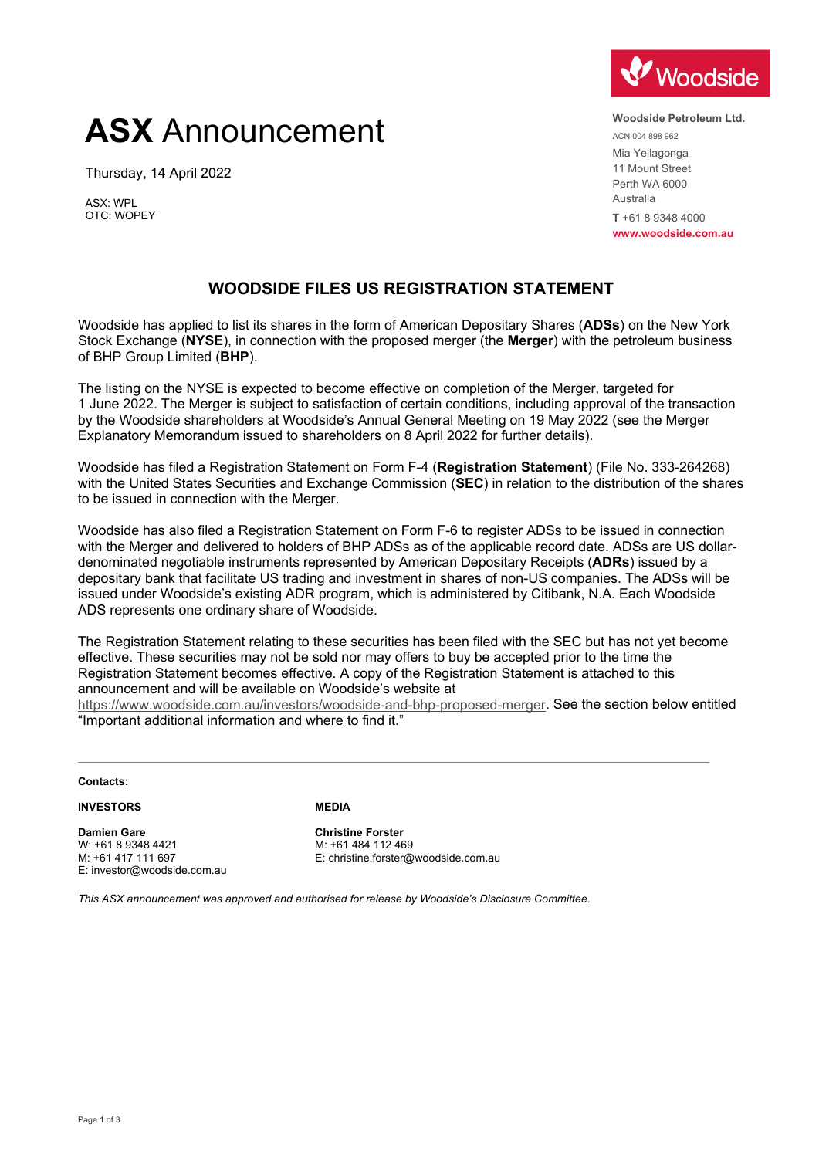# **ASX** Announcement

Thursday, 14 April 2022

ASX: WPL OTC: WOPEY



**Woodside Petroleum Ltd.** ACN 004 898 962 Mia Yellagonga 11 Mount Street Perth WA 6000 Australia **T** +61 8 9348 4000 **www.woodside.com.au**

# **WOODSIDE FILES US REGISTRATION STATEMENT**

Woodside has applied to list its shares in the form of American Depositary Shares (**ADSs**) on the New York Stock Exchange (**NYSE**), in connection with the proposed merger (the **Merger**) with the petroleum business of BHP Group Limited (**BHP**).

The listing on the NYSE is expected to become effective on completion of the Merger, targeted for 1 June 2022. The Merger is subject to satisfaction of certain conditions, including approval of the transaction by the Woodside shareholders at Woodside's Annual General Meeting on 19 May 2022 (see the Merger Explanatory Memorandum issued to shareholders on 8 April 2022 for further details).

Woodside has filed a Registration Statement on Form F-4 (**Registration Statement**) (File No. 333-264268) with the United States Securities and Exchange Commission (**SEC**) in relation to the distribution of the shares to be issued in connection with the Merger.

Woodside has also filed a Registration Statement on Form F-6 to register ADSs to be issued in connection with the Merger and delivered to holders of BHP ADSs as of the applicable record date. ADSs are US dollardenominated negotiable instruments represented by American Depositary Receipts (**ADRs**) issued by a depositary bank that facilitate US trading and investment in shares of non-US companies. The ADSs will be issued under Woodside's existing ADR program, which is administered by Citibank, N.A. Each Woodside ADS represents one ordinary share of Woodside.

The Registration Statement relating to these securities has been filed with the SEC but has not yet become effective. These securities may not be sold nor may offers to buy be accepted prior to the time the Registration Statement becomes effective. A copy of the Registration Statement is attached to this announcement and will be available on Woodside's website at

[https://www.woodside.com.au/investors/woodside-and-bhp-proposed-merger.](https://www.woodside.com.au/investors/woodside-and-bhp-proposed-merger) See the section below entitled "Important additional information and where to find it."

**Contacts:**

**INVESTORS**

**Damien Gare** W: +61 8 9348 4421 M: +61 417 111 697 E: investor@woodside.com.au **MEDIA**

**Christine Forster** M: +61 484 112 469 E: christine.forster@woodside.com.au

*This ASX announcement was approved and authorised for release by Woodside's Disclosure Committee*.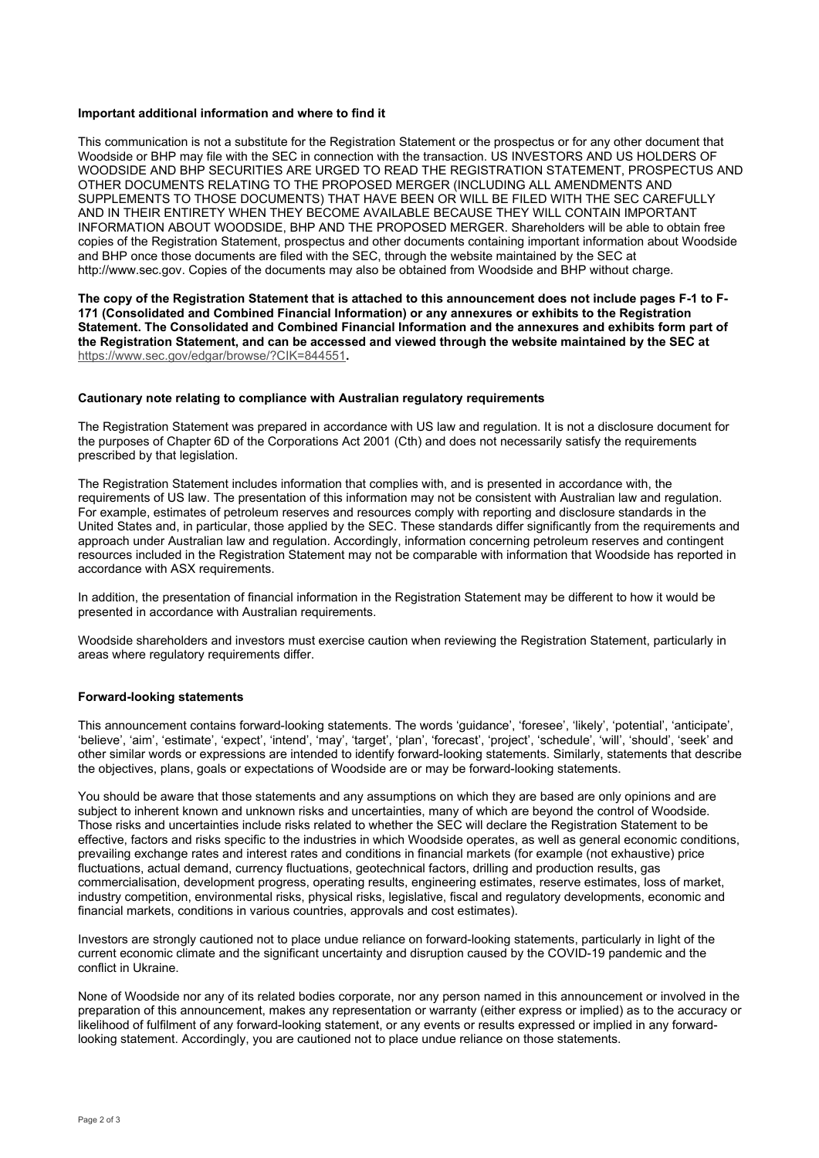#### **Important additional information and where to find it**

This communication is not a substitute for the Registration Statement or the prospectus or for any other document that Woodside or BHP may file with the SEC in connection with the transaction. US INVESTORS AND US HOLDERS OF WOODSIDE AND BHP SECURITIES ARE URGED TO READ THE REGISTRATION STATEMENT, PROSPECTUS AND OTHER DOCUMENTS RELATING TO THE PROPOSED MERGER (INCLUDING ALL AMENDMENTS AND SUPPLEMENTS TO THOSE DOCUMENTS) THAT HAVE BEEN OR WILL BE FILED WITH THE SEC CAREFULLY AND IN THEIR ENTIRETY WHEN THEY BECOME AVAILABLE BECAUSE THEY WILL CONTAIN IMPORTANT INFORMATION ABOUT WOODSIDE, BHP AND THE PROPOSED MERGER. Shareholders will be able to obtain free copies of the Registration Statement, prospectus and other documents containing important information about Woodside and BHP once those documents are filed with the SEC, through the website maintained by the SEC at [http://www.sec.gov.](http://www.sec.gov/) Copies of the documents may also be obtained from Woodside and BHP without charge.

**The copy of the Registration Statement that is attached to this announcement does not include pages F-1 to F-171 (Consolidated and Combined Financial Information) or any annexures or exhibits to the Registration Statement. The Consolidated and Combined Financial Information and the annexures and exhibits form part of the Registration Statement, and can be accessed and viewed through the website maintained by the SEC at**  [https://www.sec.gov/edgar/browse/?CIK=844551](https://protect-au.mimecast.com/s/Uv98CwVLDkcOrpoQHVDav8?domain=sec.gov)**.**

#### **Cautionary note relating to compliance with Australian regulatory requirements**

The Registration Statement was prepared in accordance with US law and regulation. It is not a disclosure document for the purposes of Chapter 6D of the Corporations Act 2001 (Cth) and does not necessarily satisfy the requirements prescribed by that legislation.

The Registration Statement includes information that complies with, and is presented in accordance with, the requirements of US law. The presentation of this information may not be consistent with Australian law and regulation. For example, estimates of petroleum reserves and resources comply with reporting and disclosure standards in the United States and, in particular, those applied by the SEC. These standards differ significantly from the requirements and approach under Australian law and regulation. Accordingly, information concerning petroleum reserves and contingent resources included in the Registration Statement may not be comparable with information that Woodside has reported in accordance with ASX requirements.

In addition, the presentation of financial information in the Registration Statement may be different to how it would be presented in accordance with Australian requirements.

Woodside shareholders and investors must exercise caution when reviewing the Registration Statement, particularly in areas where regulatory requirements differ.

## **Forward-looking statements**

This announcement contains forward-looking statements. The words 'guidance', 'foresee', 'likely', 'potential', 'anticipate', 'believe', 'aim', 'estimate', 'expect', 'intend', 'may', 'target', 'plan', 'forecast', 'project', 'schedule', 'will', 'should', 'seek' and other similar words or expressions are intended to identify forward-looking statements. Similarly, statements that describe the objectives, plans, goals or expectations of Woodside are or may be forward-looking statements.

You should be aware that those statements and any assumptions on which they are based are only opinions and are subject to inherent known and unknown risks and uncertainties, many of which are beyond the control of Woodside. Those risks and uncertainties include risks related to whether the SEC will declare the Registration Statement to be effective, factors and risks specific to the industries in which Woodside operates, as well as general economic conditions, prevailing exchange rates and interest rates and conditions in financial markets (for example (not exhaustive) price fluctuations, actual demand, currency fluctuations, geotechnical factors, drilling and production results, gas commercialisation, development progress, operating results, engineering estimates, reserve estimates, loss of market, industry competition, environmental risks, physical risks, legislative, fiscal and regulatory developments, economic and financial markets, conditions in various countries, approvals and cost estimates).

Investors are strongly cautioned not to place undue reliance on forward-looking statements, particularly in light of the current economic climate and the significant uncertainty and disruption caused by the COVID-19 pandemic and the conflict in Ukraine.

None of Woodside nor any of its related bodies corporate, nor any person named in this announcement or involved in the preparation of this announcement, makes any representation or warranty (either express or implied) as to the accuracy or likelihood of fulfilment of any forward-looking statement, or any events or results expressed or implied in any forwardlooking statement. Accordingly, you are cautioned not to place undue reliance on those statements.